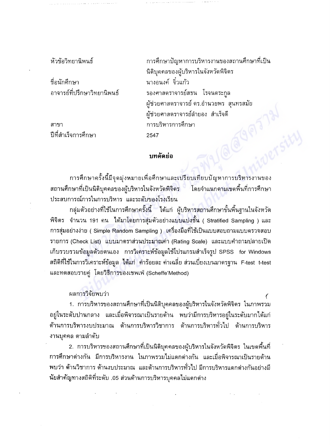หัวข้อวิทยานิพนธ์

ชื่อนักศึกษา อาจารย์ที่ปรึกษาวิทยานิพนธ์

สาขา ปีที่สำเร็จการศึกษา <sub>ิ</sub>การศึกษาปัญหาการบริหารงานของสถานศึกษาที่เป็น นิติบุคคลของผู้บริหารในจังหวัดพิจิตร นางอนงค์ จิ๋วแก้ว รองศาสตราจารย์สธน โรจนตระกูล ผู้ช่วยศาสตราจารย์ ดร.อำนวยพร สุนทรสมัย ผู้ช่วยศาสตราจารย์ลำยอง สำเร็จดี **Klaim** การบริหารการศึกษา 2547

## บทคัดย่อ

การศึกษาครั้งนี้มีจุดมุ่งหมายเพื่อศึกษาและเปรียบเทียบปัญหาการบริหารงานของ สถานศึกษาที่เป็นนิติบุคคลของผู้บริหารในจังหวัดพิจิตร ์ โดยจำแนกตามเขตพื้นที่การศึกษา ประสบการณ์การในการบริหาร และระดับของโรงเรียน

กลุ่มตัวอย่างที่ใช้ในการศึกษาครั้งนี้ ได้แก่ ผู้บริหารสถานศึกษาขั้นพื้นฐานในจังหวัด ี พิจิตร จำนวน 191 คน ได้มาโดยการสุ่มตัวอย่างแบบแบ่งชั้น ( Stratified Sampling ) และ การสุ่มอย่างง่าย ( Simple Random Sampling ) เครื่องมือที่ใช้เป็นแบบสอบถามแบบดรวจสอบ รายการ (Check List) แบบมาตราส่วนประมาณค่า (Rating Scale) และแบบคำถามปลายเปิด เก็บรวบรวมข้อมูลด้วยตนเอง การวิเคราะห์ข้อมูลใช้โปรแกรมสำเร็จรูป SPSS for Windows ิสถิติที่ใช้ในการวิเคราะห์ข้อมูล ได้แก่ ค่าร้อยละ ค่าเฉลี่ย ส่วนเบี่ยงเบนมาตรฐาน F-test t-test และทดสอบรายคู่ โดยวิธีการของเชพเฟ่ (Scheffe'Method)

## ผลการวิจัยพบว่า

1. การบริหารของสถานศึกษาที่เป็นนิติบุคคลของผู้บริหารในจังหวัดพิจิตร ในภาพรวม ้อยู่ในระดับปานกลาง และเมื่อพิจารณาเป็นรายด้าน พบว่ามีการบริหารอยู่ในระดับมากได้แก่ ด้านการบริหารงบประมาณ ด้านการบริหารวิชาการ ด้านการบริหารทั่วไป ด้านการบริหาร งานบุคคล ตามลำดับ

่ 2. การบริหารของสถานศึกษาที่เป็นนิติบุคคลของผู้บริหารในจังหวัดพิจิตร ในเขตพื้นที่ การศึกษาต่างกัน มีการบริหารงาน ในภาพรวมไม่แตกต่างกัน และเมื่อพิจารณาเป็นรายด้าน พบว่า ด้านวิชาการ ด้านงบประมาณ และด้านการบริหารทั่วไป มีการบริหารแตกต่างกันอย่างมี นัยสำคัญทางสถิติที่ระดับ .05 ส่วนด้านการบริหารบุคคลไม่แตกต่าง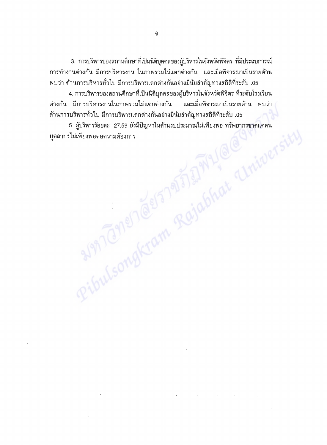3. การบริหารของสถานศึกษาที่เป็นนิติบุคคลของผู้บริหารในจังหวัดพิจิตร ที่มีประสบการณ์ ่<br>การทำงานต่างกัน มีการบริหารงาน ในภาพรวมไม่แตกต่างกัน และเมื่อพิจารณาเป็นรายด้าน พบว่า ด้านการบริหารทั่วไป มีการบริหารแตกต่างกันอย่างมีนัยสำคัญทางสถิติที่ระดับ .05

4. การบริหารของสถานศึกษาที่เป็นนิติบุคคลของผู้บริหารในจังหวัดพิจิตร ที่ระดับโรงเรียน \_ต่างกัน มีการบริหารงานในภาพรวมไม่แตกต่างกัน และเมื่อพิจารณาเป็นรายด้าน พบว่า ~ด้านการบริหารทั่วไป มีการบริหารแตกต่างกันอย่างมีนัยสำคัญทางสถิติที่ระดับ .05

5. ผู้บริหารร้อยละ 27.59 ยังมีปัญหาไนด้านงบประมาณไม่เพียงพอ ทรัพยากรขาดแคลน บุคลากรไม่เพียงพอต่อความต้องการ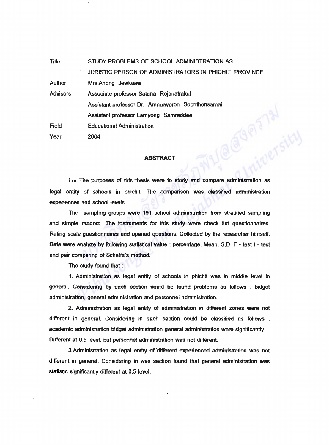Title STUDY PROBLEMS OF SCHOOL ADMINISTRATION AS JURISTIC PERSON OF ADMINISTRATORS IN PHICHIT PROVINCE Author Mrs.Anong Jewkeaw **Advisors** Associate professor Satana Rojanatrakul Assistant professor Dr. Amnuaypron Soonthonsamai JOPIT 31 Assistant professor Lamyong Samreddee Field Educational Administration Year 2004

## **ABSTRACT**

For The purposes of this thesis were to study and compare administration as legal entity of schools in phichit. The comparison was classified administration experiences and school levels

The sampling groups were 191 school administration from stratified sampling and simple random. The instruments for this study were check list questionnaires. Rating scale guestionnaires and opened questions. Collected by the researcher himself. Data were analyze by following statistical value: percentage. Mean. S.D. F - test t - test and pair comparing of Scheffe's method.

The study found that :

1. Administration as legal entity of schools in phichit was in middle level in general. Considering by each section could be found problems as fotlows : bidget administration, general administration and personnel administration.

2. Administration as legal entity of administration in different zones were not different in general. Considering in each section could be classified as follows academic administration bidget administration general administration were significantly Different at 0.5 level, but personnel administration was not different.

3. Administration as legal entity of different experienced administration was not different in general. Considering in was section found that general administration was statistic significantly different at 0.5 level.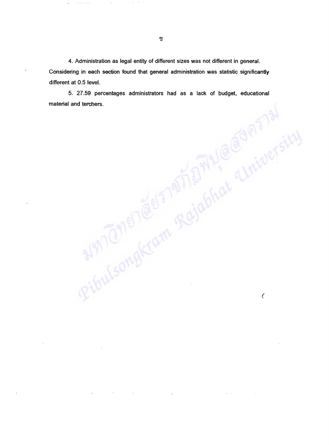4. Administration as legal entity of different sizes was not different in general. Considering in each section found that general administration was statistic significantly different at 0.5 level.

5. 27.59 percentages administrators had as a lack of budget, educationa material and terchers.

 $\overline{\zeta}$